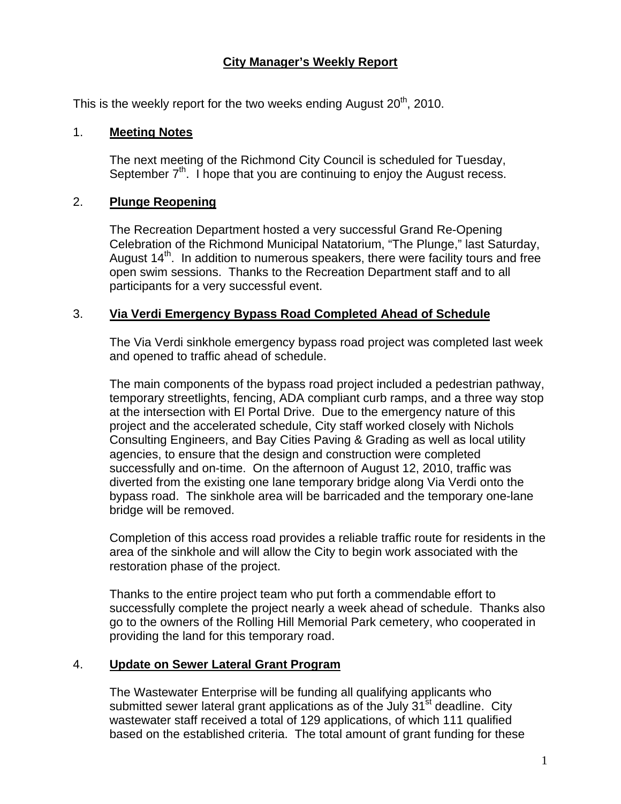## **City Manager's Weekly Report**

This is the weekly report for the two weeks ending August  $20<sup>th</sup>$ , 2010.

#### 1. **Meeting Notes**

The next meeting of the Richmond City Council is scheduled for Tuesday, September  $7<sup>th</sup>$ . I hope that you are continuing to enjoy the August recess.

#### 2. **Plunge Reopening**

The Recreation Department hosted a very successful Grand Re-Opening Celebration of the Richmond Municipal Natatorium, "The Plunge," last Saturday, August  $14<sup>th</sup>$ . In addition to numerous speakers, there were facility tours and free open swim sessions. Thanks to the Recreation Department staff and to all participants for a very successful event.

#### 3. **Via Verdi Emergency Bypass Road Completed Ahead of Schedule**

The Via Verdi sinkhole emergency bypass road project was completed last week and opened to traffic ahead of schedule.

The main components of the bypass road project included a pedestrian pathway, temporary streetlights, fencing, ADA compliant curb ramps, and a three way stop at the intersection with El Portal Drive. Due to the emergency nature of this project and the accelerated schedule, City staff worked closely with Nichols Consulting Engineers, and Bay Cities Paving & Grading as well as local utility agencies, to ensure that the design and construction were completed successfully and on-time. On the afternoon of August 12, 2010, traffic was diverted from the existing one lane temporary bridge along Via Verdi onto the bypass road. The sinkhole area will be barricaded and the temporary one-lane bridge will be removed.

Completion of this access road provides a reliable traffic route for residents in the area of the sinkhole and will allow the City to begin work associated with the restoration phase of the project.

Thanks to the entire project team who put forth a commendable effort to successfully complete the project nearly a week ahead of schedule. Thanks also go to the owners of the Rolling Hill Memorial Park cemetery, who cooperated in providing the land for this temporary road.

### 4. **Update on Sewer Lateral Grant Program**

The Wastewater Enterprise will be funding all qualifying applicants who submitted sewer lateral grant applications as of the July  $31<sup>st</sup>$  deadline. City wastewater staff received a total of 129 applications, of which 111 qualified based on the established criteria. The total amount of grant funding for these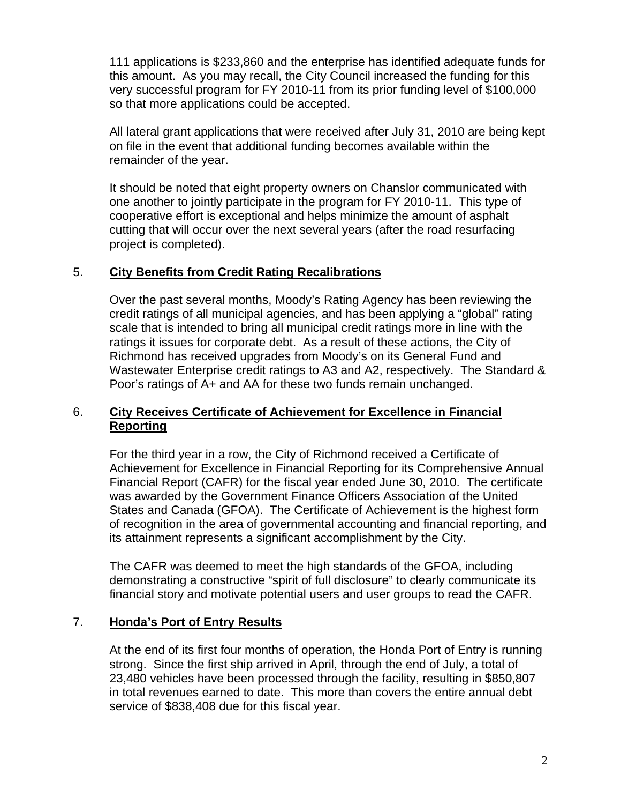111 applications is \$233,860 and the enterprise has identified adequate funds for this amount. As you may recall, the City Council increased the funding for this very successful program for FY 2010-11 from its prior funding level of \$100,000 so that more applications could be accepted.

All lateral grant applications that were received after July 31, 2010 are being kept on file in the event that additional funding becomes available within the remainder of the year.

It should be noted that eight property owners on Chanslor communicated with one another to jointly participate in the program for FY 2010-11. This type of cooperative effort is exceptional and helps minimize the amount of asphalt cutting that will occur over the next several years (after the road resurfacing project is completed).

## 5. **City Benefits from Credit Rating Recalibrations**

Over the past several months, Moody's Rating Agency has been reviewing the credit ratings of all municipal agencies, and has been applying a "global" rating scale that is intended to bring all municipal credit ratings more in line with the ratings it issues for corporate debt. As a result of these actions, the City of Richmond has received upgrades from Moody's on its General Fund and Wastewater Enterprise credit ratings to A3 and A2, respectively. The Standard & Poor's ratings of A+ and AA for these two funds remain unchanged.

### 6. **City Receives Certificate of Achievement for Excellence in Financial Reporting**

For the third year in a row, the City of Richmond received a Certificate of Achievement for Excellence in Financial Reporting for its Comprehensive Annual Financial Report (CAFR) for the fiscal year ended June 30, 2010. The certificate was awarded by the Government Finance Officers Association of the United States and Canada (GFOA). The Certificate of Achievement is the highest form of recognition in the area of governmental accounting and financial reporting, and its attainment represents a significant accomplishment by the City.

The CAFR was deemed to meet the high standards of the GFOA, including demonstrating a constructive "spirit of full disclosure" to clearly communicate its financial story and motivate potential users and user groups to read the CAFR.

### 7. **Honda's Port of Entry Results**

At the end of its first four months of operation, the Honda Port of Entry is running strong. Since the first ship arrived in April, through the end of July, a total of 23,480 vehicles have been processed through the facility, resulting in \$850,807 in total revenues earned to date. This more than covers the entire annual debt service of \$838,408 due for this fiscal year.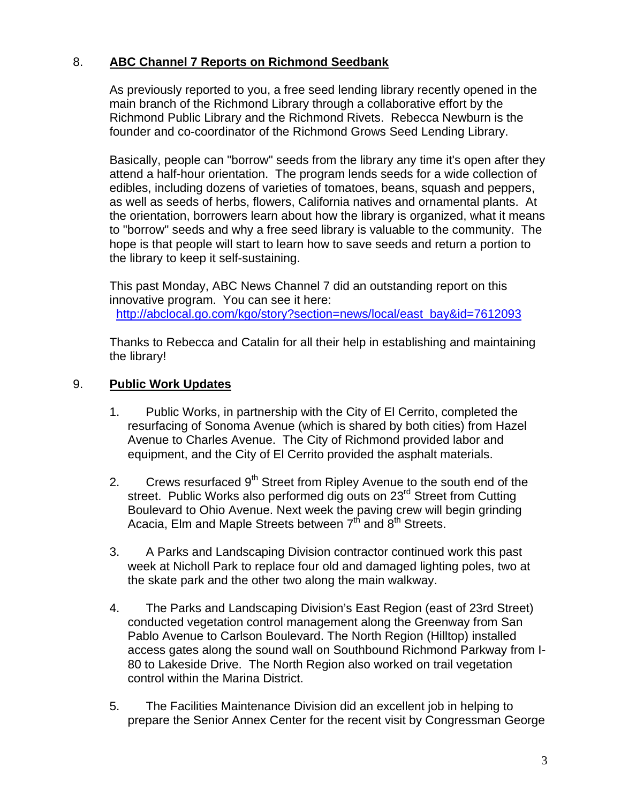# 8. **ABC Channel 7 Reports on Richmond Seedbank**

As previously reported to you, a free seed lending library recently opened in the main branch of the Richmond Library through a collaborative effort by the Richmond Public Library and the Richmond Rivets. Rebecca Newburn is the founder and co-coordinator of the Richmond Grows Seed Lending Library.

Basically, people can "borrow" seeds from the library any time it's open after they attend a half-hour orientation. The program lends seeds for a wide collection of edibles, including dozens of varieties of tomatoes, beans, squash and peppers, as well as seeds of herbs, flowers, California natives and ornamental plants. At the orientation, borrowers learn about how the library is organized, what it means to "borrow" seeds and why a free seed library is valuable to the community. The hope is that people will start to learn how to save seeds and return a portion to the library to keep it self-sustaining.

This past Monday, ABC News Channel 7 did an outstanding report on this innovative program. You can see it here: [http://abclocal.go.com/kgo/story?section=news/local/east\\_bay&id=7612093](http://abclocal.go.com/kgo/story?section=news/local/east_bay&id=7612093)

Thanks to Rebecca and Catalin for all their help in establishing and maintaining the library!

## 9. **Public Work Updates**

- 1. Public Works, in partnership with the City of El Cerrito, completed the resurfacing of Sonoma Avenue (which is shared by both cities) from Hazel Avenue to Charles Avenue. The City of Richmond provided labor and equipment, and the City of El Cerrito provided the asphalt materials.
- 2. Crews resurfaced  $9<sup>th</sup>$  Street from Ripley Avenue to the south end of the street. Public Works also performed dig outs on 23<sup>rd</sup> Street from Cutting Boulevard to Ohio Avenue. Next week the paving crew will begin grinding Acacia, Elm and Maple Streets between  $7<sup>th</sup>$  and  $8<sup>th</sup>$  Streets.
- 3. A Parks and Landscaping Division contractor continued work this past week at Nicholl Park to replace four old and damaged lighting poles, two at the skate park and the other two along the main walkway.
- 4. The Parks and Landscaping Division's East Region (east of 23rd Street) conducted vegetation control management along the Greenway from San Pablo Avenue to Carlson Boulevard. The North Region (Hilltop) installed access gates along the sound wall on Southbound Richmond Parkway from I-80 to Lakeside Drive. The North Region also worked on trail vegetation control within the Marina District.
- 5. The Facilities Maintenance Division did an excellent job in helping to prepare the Senior Annex Center for the recent visit by Congressman George